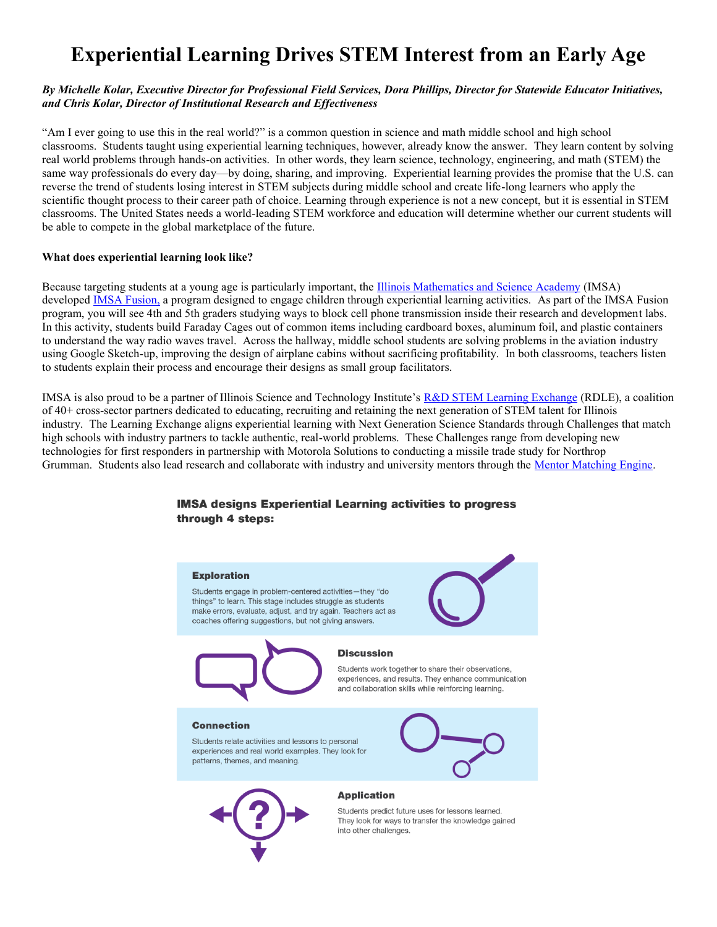# **Experiential Learning Drives STEM Interest from an Early Age**

#### *By Michelle Kolar, Executive Director for Professional Field Services, Dora Phillips, Director for Statewide Educator Initiatives, and Chris Kolar, Director of Institutional Research and Effectiveness*

"Am I ever going to use this in the real world?" is a common question in science and math middle school and high school classrooms. Students taught using experiential learning techniques, however, already know the answer. They learn content by solving real world problems through hands-on activities. In other words, they learn science, technology, engineering, and math (STEM) the same way professionals do every day—by doing, sharing, and improving. Experiential learning provides the promise that the U.S. can reverse the trend of students losing interest in STEM subjects during middle school and create life-long learners who apply the scientific thought process to their career path of choice. Learning through experience is not a new concept, but it is essential in STEM classrooms. The United States needs a world-leading STEM workforce and education will determine whether our current students will be able to compete in the global marketplace of the future.

#### **What does experiential learning look like?**

Because targeting students at a young age is particularly important, the [Illinois Mathematics and Science Academy](http://www.imsa.edu/) (IMSA) developed [IMSA Fusion,](https://www.imsa.edu/extensionprograms/fusion) a program designed to engage children through experiential learning activities. As part of the IMSA Fusion program, you will see 4th and 5th graders studying ways to block cell phone transmission inside their research and development labs. In this activity, students build Faraday Cages out of common items including cardboard boxes, aluminum foil, and plastic containers to understand the way radio waves travel. Across the hallway, middle school students are solving problems in the aviation industry using Google Sketch-up, improving the design of airplane cabins without sacrificing profitability. In both classrooms, teachers listen to students explain their process and encourage their designs as small group facilitators.

IMSA is also proud to be a partner of Illinois Science and Technology Institute's [R&D STEM Learning Exchange](http://istcoalition.org/illinois-science-and-technology-institute/rd-stem-learning-exchange/) (RDLE), a coalition of 40+ cross-sector partners dedicated to educating, recruiting and retaining the next generation of STEM talent for Illinois industry. The Learning Exchange aligns experiential learning with Next Generation Science Standards through Challenges that match high schools with industry partners to tackle authentic, real-world problems. These Challenges range from developing new technologies for first responders in partnership with Motorola Solutions to conducting a missile trade study for Northrop Grumman. Students also lead research and collaborate with industry and university mentors through the [Mentor Matching Engine.](http://www.mentormatchingengine.org/)

### **IMSA designs Experiential Learning activities to progress** through 4 steps: